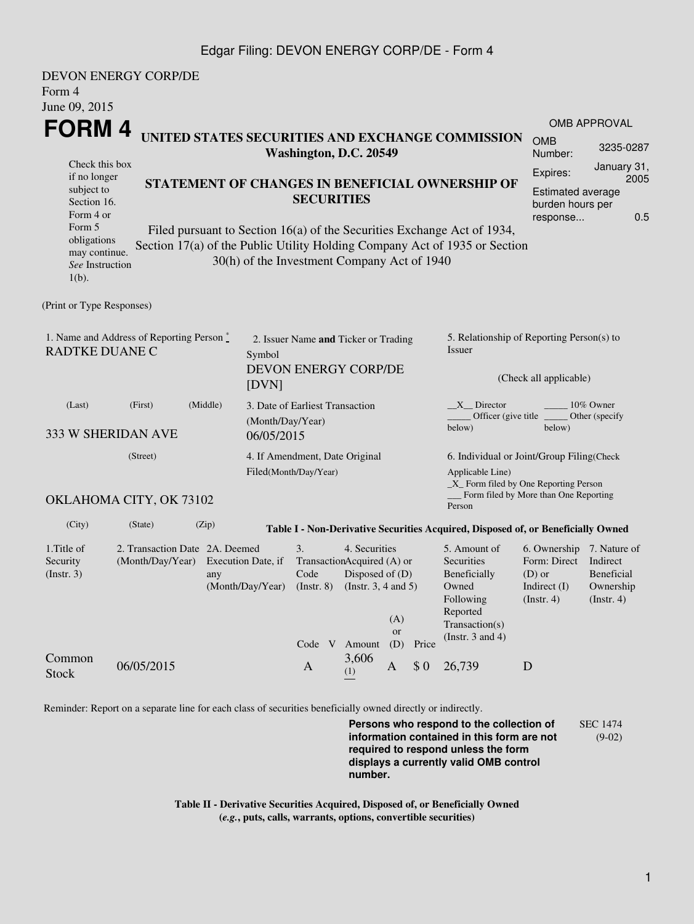## Edgar Filing: DEVON ENERGY CORP/DE - Form 4

| Form 4<br>June 09, 2015                                                                         | DEVON ENERGY CORP/DE                                                                                                                                                                                                                                                                    |                           |                                                              |                                                                                                                                                                                        |                                                                      |                                                                                                                         |                                                                                                |                                                                                          |                                       |                                                                                 |  |
|-------------------------------------------------------------------------------------------------|-----------------------------------------------------------------------------------------------------------------------------------------------------------------------------------------------------------------------------------------------------------------------------------------|---------------------------|--------------------------------------------------------------|----------------------------------------------------------------------------------------------------------------------------------------------------------------------------------------|----------------------------------------------------------------------|-------------------------------------------------------------------------------------------------------------------------|------------------------------------------------------------------------------------------------|------------------------------------------------------------------------------------------|---------------------------------------|---------------------------------------------------------------------------------|--|
|                                                                                                 |                                                                                                                                                                                                                                                                                         |                           |                                                              |                                                                                                                                                                                        |                                                                      |                                                                                                                         |                                                                                                |                                                                                          |                                       | <b>OMB APPROVAL</b>                                                             |  |
| FORM <sub>4</sub><br>UNITED STATES SECURITIES AND EXCHANGE COMMISSION<br>Washington, D.C. 20549 |                                                                                                                                                                                                                                                                                         |                           |                                                              |                                                                                                                                                                                        |                                                                      |                                                                                                                         |                                                                                                | <b>OMB</b><br>Number:                                                                    | 3235-0287                             |                                                                                 |  |
| Check this box<br>if no longer<br>subject to<br>Section 16.                                     |                                                                                                                                                                                                                                                                                         |                           |                                                              |                                                                                                                                                                                        | STATEMENT OF CHANGES IN BENEFICIAL OWNERSHIP OF<br><b>SECURITIES</b> |                                                                                                                         |                                                                                                |                                                                                          |                                       | January 31,<br>Expires:<br>2005<br><b>Estimated average</b><br>burden hours per |  |
| Form 5<br>$1(b)$ .                                                                              | Form 4 or<br>0.5<br>response<br>Filed pursuant to Section 16(a) of the Securities Exchange Act of 1934,<br>obligations<br>Section 17(a) of the Public Utility Holding Company Act of 1935 or Section<br>may continue.<br>30(h) of the Investment Company Act of 1940<br>See Instruction |                           |                                                              |                                                                                                                                                                                        |                                                                      |                                                                                                                         |                                                                                                |                                                                                          |                                       |                                                                                 |  |
| (Print or Type Responses)                                                                       |                                                                                                                                                                                                                                                                                         |                           |                                                              |                                                                                                                                                                                        |                                                                      |                                                                                                                         |                                                                                                |                                                                                          |                                       |                                                                                 |  |
| 1. Name and Address of Reporting Person *<br><b>RADTKE DUANE C</b><br>Symbol<br>[DVN]           |                                                                                                                                                                                                                                                                                         |                           | 2. Issuer Name and Ticker or Trading<br>DEVON ENERGY CORP/DE |                                                                                                                                                                                        |                                                                      |                                                                                                                         | 5. Relationship of Reporting Person(s) to<br>Issuer<br>(Check all applicable)                  |                                                                                          |                                       |                                                                                 |  |
| (Middle)<br>(First)<br>(Last)<br>(Month/Day/Year)<br>333 W SHERIDAN AVE<br>06/05/2015           |                                                                                                                                                                                                                                                                                         |                           |                                                              | 3. Date of Earliest Transaction                                                                                                                                                        |                                                                      |                                                                                                                         |                                                                                                | $X$ Director<br>10% Owner<br>Officer (give title _<br>Other (specify<br>below)<br>below) |                                       |                                                                                 |  |
| (Street)<br>4. If Amendment, Date Original<br>Filed(Month/Day/Year)                             |                                                                                                                                                                                                                                                                                         |                           |                                                              |                                                                                                                                                                                        |                                                                      | 6. Individual or Joint/Group Filing(Check<br>Applicable Line)<br>$\_X$ Form filed by One Reporting Person               |                                                                                                |                                                                                          |                                       |                                                                                 |  |
|                                                                                                 | OKLAHOMA CITY, OK 73102                                                                                                                                                                                                                                                                 |                           |                                                              |                                                                                                                                                                                        |                                                                      |                                                                                                                         |                                                                                                | Person                                                                                   | Form filed by More than One Reporting |                                                                                 |  |
| (City)                                                                                          | (State)                                                                                                                                                                                                                                                                                 | (Zip)                     |                                                              |                                                                                                                                                                                        |                                                                      |                                                                                                                         |                                                                                                | Table I - Non-Derivative Securities Acquired, Disposed of, or Beneficially Owned         |                                       |                                                                                 |  |
| 1. Title of<br>Security<br>$($ Instr. 3 $)$                                                     | 2. Transaction Date 2A. Deemed<br>(Month/Day/Year)                                                                                                                                                                                                                                      | Execution Date, if<br>any |                                                              | 4. Securities<br>3.<br>TransactionAcquired (A) or<br>Code<br>Disposed of $(D)$<br>(Month/Day/Year) (Instr. 8) (Instr. 3, 4 and 5)<br>(A)<br><b>or</b><br>Code V Amount<br>(D)<br>Price |                                                                      | 5. Amount of<br>Securities<br>Beneficially<br>Owned<br>Following<br>Reported<br>Transaction(s)<br>(Instr. $3$ and $4$ ) | 6. Ownership 7. Nature of<br>Form: Direct<br>$(D)$ or<br>Indirect (I) Ownership<br>(Insert. 4) | Indirect<br>Beneficial<br>(Insert. 4)                                                    |                                       |                                                                                 |  |
| Common<br><b>Stock</b>                                                                          | 06/05/2015                                                                                                                                                                                                                                                                              |                           |                                                              | $\mathbf{A}$                                                                                                                                                                           | 3,606<br>(1)                                                         | A                                                                                                                       | \$0                                                                                            | 26,739                                                                                   | D                                     |                                                                                 |  |

Reminder: Report on a separate line for each class of securities beneficially owned directly or indirectly.

**Persons who respond to the collection of information contained in this form are not required to respond unless the form displays a currently valid OMB control number.** SEC 1474 (9-02)

**Table II - Derivative Securities Acquired, Disposed of, or Beneficially Owned (***e.g.***, puts, calls, warrants, options, convertible securities)**